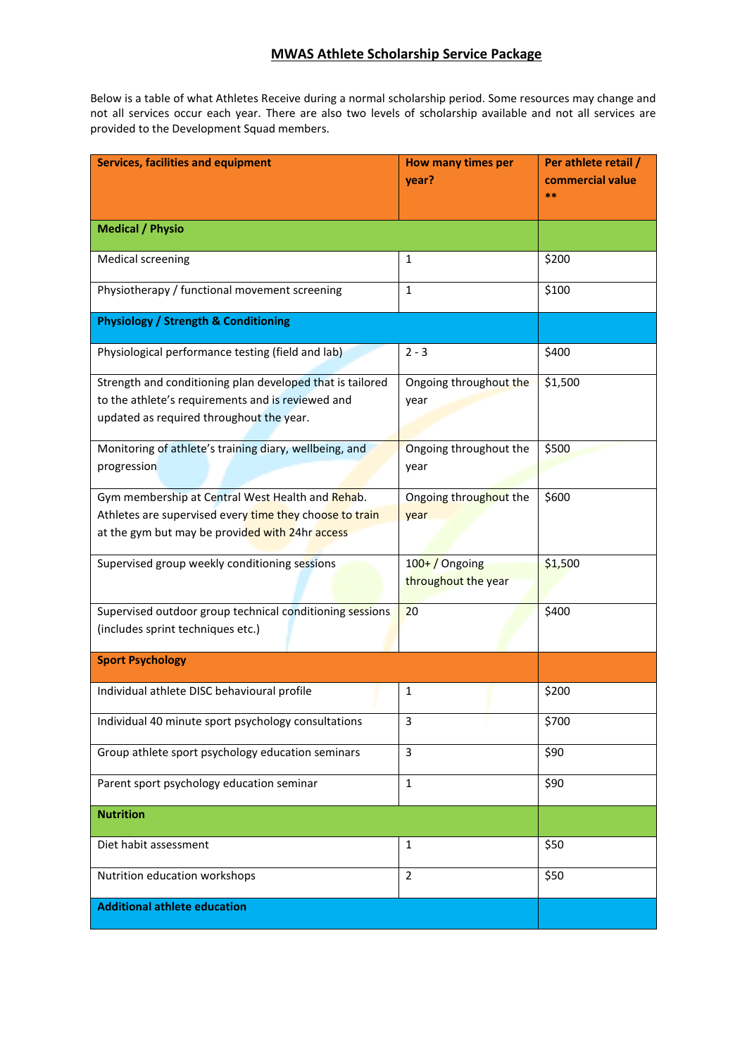## **MWAS Athlete Scholarship Service Package**

Below is a table of what Athletes Receive during a normal scholarship period. Some resources may change and not all services occur each year. There are also two levels of scholarship available and not all services are provided to the Development Squad members.

| <b>Services, facilities and equipment</b>                                                                                                                      | How many times per<br>year?         | Per athlete retail /<br>commercial value<br>$**$ |
|----------------------------------------------------------------------------------------------------------------------------------------------------------------|-------------------------------------|--------------------------------------------------|
|                                                                                                                                                                |                                     |                                                  |
| <b>Medical / Physio</b>                                                                                                                                        |                                     |                                                  |
| <b>Medical screening</b>                                                                                                                                       | 1                                   | \$200                                            |
| Physiotherapy / functional movement screening                                                                                                                  | 1                                   | \$100                                            |
| <b>Physiology / Strength &amp; Conditioning</b>                                                                                                                |                                     |                                                  |
| Physiological performance testing (field and lab)                                                                                                              | $2 - 3$                             | \$400                                            |
| Strength and conditioning plan developed that is tailored<br>to the athlete's requirements and is reviewed and<br>updated as required throughout the year.     | Ongoing throughout the<br>year      | \$1,500                                          |
| Monitoring of athlete's training diary, wellbeing, and<br>progression                                                                                          | Ongoing throughout the<br>year      | \$500                                            |
| Gym membership at Central West Health and Rehab.<br>Athletes are supervised every time they choose to train<br>at the gym but may be provided with 24hr access | Ongoing throughout the<br>year      | \$600                                            |
| Supervised group weekly conditioning sessions                                                                                                                  | 100+/Ongoing<br>throughout the year | \$1,500                                          |
| Supervised outdoor group technical conditioning sessions<br>(includes sprint techniques etc.)                                                                  | 20                                  | \$400                                            |
| <b>Sport Psychology</b>                                                                                                                                        |                                     |                                                  |
| Individual athlete DISC behavioural profile                                                                                                                    | 1                                   | \$200                                            |
| Individual 40 minute sport psychology consultations                                                                                                            | 3                                   | \$700                                            |
| Group athlete sport psychology education seminars                                                                                                              | $\overline{3}$                      | \$90                                             |
| Parent sport psychology education seminar                                                                                                                      | $\mathbf{1}$                        | \$90                                             |
| <b>Nutrition</b>                                                                                                                                               |                                     |                                                  |
| Diet habit assessment                                                                                                                                          | 1                                   | \$50                                             |
| Nutrition education workshops                                                                                                                                  | $\overline{2}$                      | \$50                                             |
| <b>Additional athlete education</b>                                                                                                                            |                                     |                                                  |